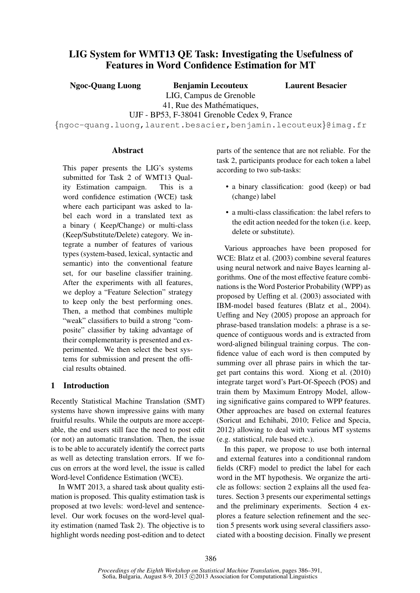# LIG System for WMT13 QE Task: Investigating the Usefulness of Features in Word Confidence Estimation for MT

Ngoc-Quang Luong Benjamin Lecouteux

Laurent Besacier

LIG, Campus de Grenoble

41, Rue des Mathématiques, UJF - BP53, F-38041 Grenoble Cedex 9, France

{ngoc-quang.luong,laurent.besacier,benjamin.lecouteux}@imag.fr

### Abstract

This paper presents the LIG's systems submitted for Task 2 of WMT13 Quality Estimation campaign. This is a word confidence estimation (WCE) task where each participant was asked to label each word in a translated text as a binary ( Keep/Change) or multi-class (Keep/Substitute/Delete) category. We integrate a number of features of various types (system-based, lexical, syntactic and semantic) into the conventional feature set, for our baseline classifier training. After the experiments with all features, we deploy a "Feature Selection" strategy to keep only the best performing ones. Then, a method that combines multiple "weak" classifiers to build a strong "composite" classifier by taking advantage of their complementarity is presented and experimented. We then select the best systems for submission and present the official results obtained.

## 1 Introduction

Recently Statistical Machine Translation (SMT) systems have shown impressive gains with many fruitful results. While the outputs are more acceptable, the end users still face the need to post edit (or not) an automatic translation. Then, the issue is to be able to accurately identify the correct parts as well as detecting translation errors. If we focus on errors at the word level, the issue is called Word-level Confidence Estimation (WCE).

In WMT 2013, a shared task about quality estimation is proposed. This quality estimation task is proposed at two levels: word-level and sentencelevel. Our work focuses on the word-level quality estimation (named Task 2). The objective is to highlight words needing post-edition and to detect parts of the sentence that are not reliable. For the task 2, participants produce for each token a label according to two sub-tasks:

- a binary classification: good (keep) or bad (change) label
- a multi-class classification: the label refers to the edit action needed for the token (i.e. keep, delete or substitute).

Various approaches have been proposed for WCE: Blatz et al. (2003) combine several features using neural network and naive Bayes learning algorithms. One of the most effective feature combinations is the Word Posterior Probability (WPP) as proposed by Ueffing et al. (2003) associated with IBM-model based features (Blatz et al., 2004). Ueffing and Ney (2005) propose an approach for phrase-based translation models: a phrase is a sequence of contiguous words and is extracted from word-aligned bilingual training corpus. The confidence value of each word is then computed by summing over all phrase pairs in which the target part contains this word. Xiong et al. (2010) integrate target word's Part-Of-Speech (POS) and train them by Maximum Entropy Model, allowing significative gains compared to WPP features. Other approaches are based on external features (Soricut and Echihabi, 2010; Felice and Specia, 2012) allowing to deal with various MT systems (e.g. statistical, rule based etc.).

In this paper, we propose to use both internal and external features into a conditionnal random fields (CRF) model to predict the label for each word in the MT hypothesis. We organize the article as follows: section 2 explains all the used features. Section 3 presents our experimental settings and the preliminary experiments. Section 4 explores a feature selection refinement and the section 5 presents work using several classifiers associated with a boosting decision. Finally we present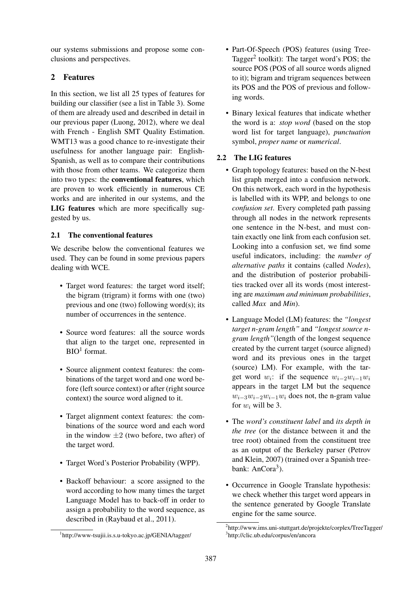our systems submissions and propose some conclusions and perspectives.

## 2 Features

In this section, we list all 25 types of features for building our classifier (see a list in Table 3). Some of them are already used and described in detail in our previous paper (Luong, 2012), where we deal with French - English SMT Quality Estimation. WMT13 was a good chance to re-investigate their usefulness for another language pair: English-Spanish, as well as to compare their contributions with those from other teams. We categorize them into two types: the conventional features, which are proven to work efficiently in numerous CE works and are inherited in our systems, and the LIG features which are more specifically suggested by us.

## 2.1 The conventional features

We describe below the conventional features we used. They can be found in some previous papers dealing with WCE.

- Target word features: the target word itself; the bigram (trigram) it forms with one (two) previous and one (two) following word(s); its number of occurrences in the sentence.
- Source word features: all the source words that align to the target one, represented in BIO<sup>1</sup> format.
- Source alignment context features: the combinations of the target word and one word before (left source context) or after (right source context) the source word aligned to it.
- Target alignment context features: the combinations of the source word and each word in the window  $\pm 2$  (two before, two after) of the target word.
- Target Word's Posterior Probability (WPP).
- Backoff behaviour: a score assigned to the word according to how many times the target Language Model has to back-off in order to assign a probability to the word sequence, as described in (Raybaud et al., 2011).
- Part-Of-Speech (POS) features (using Tree-Tagger<sup>2</sup> toolkit): The target word's POS; the source POS (POS of all source words aligned to it); bigram and trigram sequences between its POS and the POS of previous and following words.
- Binary lexical features that indicate whether the word is a: *stop word* (based on the stop word list for target language), *punctuation* symbol, *proper name* or *numerical*.

### 2.2 The LIG features

- Graph topology features: based on the N-best list graph merged into a confusion network. On this network, each word in the hypothesis is labelled with its WPP, and belongs to one *confusion set*. Every completed path passing through all nodes in the network represents one sentence in the N-best, and must contain exactly one link from each confusion set. Looking into a confusion set, we find some useful indicators, including: the *number of alternative paths* it contains (called *Nodes*), and the distribution of posterior probabilities tracked over all its words (most interesting are *maximum and minimum probabilities*, called *Max* and *Min*).
- Language Model (LM) features: the *"longest target n-gram length"* and *"longest source ngram length"*(length of the longest sequence created by the current target (source aligned) word and its previous ones in the target (source) LM). For example, with the target word  $w_i$ : if the sequence  $w_{i-2}w_{i-1}w_i$ appears in the target LM but the sequence  $w_{i-3}w_{i-2}w_{i-1}w_i$  does not, the n-gram value for  $w_i$  will be 3.
- The *word's constituent label* and *its depth in the tree* (or the distance between it and the tree root) obtained from the constituent tree as an output of the Berkeley parser (Petrov and Klein, 2007) (trained over a Spanish treebank: AnCora<sup>3</sup>).
- Occurrence in Google Translate hypothesis: we check whether this target word appears in the sentence generated by Google Translate engine for the same source.

<sup>1</sup> http://www-tsujii.is.s.u-tokyo.ac.jp/GENIA/tagger/

<sup>2</sup> http://www.ims.uni-stuttgart.de/projekte/corplex/TreeTagger/ 3 http://clic.ub.edu/corpus/en/ancora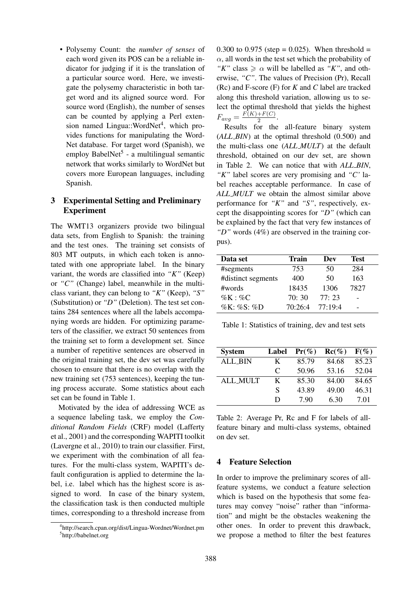• Polysemy Count: the *number of senses* of each word given its POS can be a reliable indicator for judging if it is the translation of a particular source word. Here, we investigate the polysemy characteristic in both target word and its aligned source word. For source word (English), the number of senses can be counted by applying a Perl extension named Lingua::WordNet<sup>4</sup>, which provides functions for manipulating the Word-Net database. For target word (Spanish), we employ BabelNet<sup>5</sup> - a multilingual semantic network that works similarly to WordNet but covers more European languages, including Spanish.

### 3 Experimental Setting and Preliminary Experiment

The WMT13 organizers provide two bilingual data sets, from English to Spanish: the training and the test ones. The training set consists of 803 MT outputs, in which each token is annotated with one appropriate label. In the binary variant, the words are classified into *"K"* (Keep) or *"C"* (Change) label, meanwhile in the multiclass variant, they can belong to *"K"* (Keep), *"S"* (Substitution) or *"D"* (Deletion). The test set contains 284 sentences where all the labels accompanying words are hidden. For optimizing parameters of the classifier, we extract 50 sentences from the training set to form a development set. Since a number of repetitive sentences are observed in the original training set, the dev set was carefully chosen to ensure that there is no overlap with the new training set (753 sentences), keeping the tuning process accurate. Some statistics about each set can be found in Table 1.

Motivated by the idea of addressing WCE as a sequence labeling task, we employ the *Conditional Random Fields* (CRF) model (Lafferty et al., 2001) and the corresponding WAPITI toolkit (Lavergne et al., 2010) to train our classifier. First, we experiment with the combination of all features. For the multi-class system, WAPITI's default configuration is applied to determine the label, i.e. label which has the highest score is assigned to word. In case of the binary system, the classification task is then conducted multiple times, corresponding to a threshold increase from 0.300 to 0.975 (step = 0.025). When threshold =  $\alpha$ , all words in the test set which the probability of *"K"* class  $\ge \alpha$  will be labelled as "*K"*, and otherwise, *"C"*. The values of Precision (Pr), Recall (Rc) and F-score (F) for *K* and *C* label are tracked along this threshold variation, allowing us to select the optimal threshold that yields the highest  $F_{avg} = \frac{F(K) + F(C)}{2}$  $rac{+F(C)}{2}$ .

Results for the all-feature binary system (*ALL\_BIN*) at the optimal threshold (0.500) and the multi-class one (*ALL MULT*) at the default threshold, obtained on our dev set, are shown in Table 2. We can notice that with *ALL BIN*, *"K"* label scores are very promising and *"C'* label reaches acceptable performance. In case of *ALL MULT* we obtain the almost similar above performance for *"K"* and *"S"*, respectively, except the disappointing scores for *"D"* (which can be explained by the fact that very few instances of *"D"* words (4%) are observed in the training corpus).

| Data set           | Train   | Dev     | <b>Test</b> |
|--------------------|---------|---------|-------------|
| #segments          | 753     | 50      | 284         |
| #distinct segments | 400     | 50      | 163         |
| $\#words$          | 18435   | 1306    | 7827        |
| $\%K : \%C$        | 70:30   | 77:23   |             |
| %K: %S: %D         | 70:26:4 | 77:19:4 |             |

Table 1: Statistics of training, dev and test sets

| <b>System</b>   | Label | $Pr(\%)$ | $\text{Rc}(\%)$ | $F(\%)$ |
|-----------------|-------|----------|-----------------|---------|
| <b>ALL_BIN</b>  | K     | 85.79    | 84.68           | 85.23   |
|                 | C     | 50.96    | 53.16           | 52.04   |
| <b>ALL_MULT</b> | K     | 85.30    | 84.00           | 84.65   |
|                 | S     | 43.89    | 49.00           | 46.31   |
|                 | D     | 7.90     | 6.30            | 7.01    |

Table 2: Average Pr, Rc and F for labels of allfeature binary and multi-class systems, obtained on dev set.

### 4 Feature Selection

In order to improve the preliminary scores of allfeature systems, we conduct a feature selection which is based on the hypothesis that some features may convey "noise" rather than "information" and might be the obstacles weakening the other ones. In order to prevent this drawback, we propose a method to filter the best features

<sup>4</sup> http://search.cpan.org/dist/Lingua-Wordnet/Wordnet.pm 5 http://babelnet.org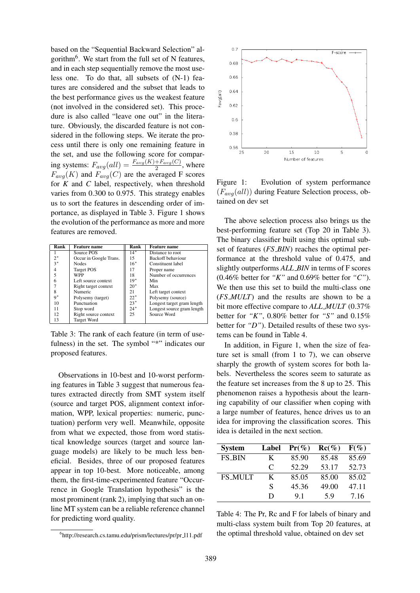based on the "Sequential Backward Selection" algorithm<sup>6</sup>. We start from the full set of N features, and in each step sequentially remove the most useless one. To do that, all subsets of (N-1) features are considered and the subset that leads to the best performance gives us the weakest feature (not involved in the considered set). This procedure is also called "leave one out" in the literature. Obviously, the discarded feature is not considered in the following steps. We iterate the process until there is only one remaining feature in the set, and use the following score for comparing systems:  $F_{avg}(all) = \frac{F_{avg}(K) + F_{avg}(C)}{2}$ , where  $F_{avg}(K)$  and  $F_{avg}(C)$  are the averaged F scores for *K* and *C* label, respectively, when threshold varies from 0.300 to 0.975. This strategy enables us to sort the features in descending order of importance, as displayed in Table 3. Figure 1 shows the evolution of the performance as more and more features are removed.

| Rank  | <b>Feature name</b>    | Rank  | <b>Feature name</b>        |
|-------|------------------------|-------|----------------------------|
|       | Source POS             | $14*$ | Distance to root           |
| $2^*$ | Occur in Google Trans. | 15    | Backoff behaviour          |
| $3*$  | <b>Nodes</b>           | $16*$ | Constituent label          |
|       | <b>Target POS</b>      | 17    | Proper name                |
| 5     | <b>WPP</b>             | 18    | Number of occurrences      |
| 6     | Left source context    | $19*$ | Min                        |
|       | Right target context   | $20*$ | Max                        |
| 8     | Numeric                | 21    | Left target context        |
| $9*$  | Polysemy (target)      | $22*$ | Polysemy (source)          |
| 10    | Punctuation            | $23*$ | Longest target gram length |
| 11    | Stop word              | $24*$ | Longest source gram length |
| 12    | Right source context   | 25    | Source Word                |
| 13    | <b>Target Word</b>     |       |                            |

Table 3: The rank of each feature (in term of usefulness) in the set. The symbol "\*" indicates our proposed features.

Observations in 10-best and 10-worst performing features in Table 3 suggest that numerous features extracted directly from SMT system itself (source and target POS, alignment context information, WPP, lexical properties: numeric, punctuation) perform very well. Meanwhile, opposite from what we expected, those from word statistical knowledge sources (target and source language models) are likely to be much less beneficial. Besides, three of our proposed features appear in top 10-best. More noticeable, among them, the first-time-experimented feature "Occurrence in Google Translation hypothesis" is the most prominent (rank 2), implying that such an online MT system can be a reliable reference channel for predicting word quality.



Figure 1: Evolution of system performance  $(F_{avg}(all))$  during Feature Selection process, obtained on dev set

The above selection process also brings us the best-performing feature set (Top 20 in Table 3). The binary classifier built using this optimal subset of features (*FS BIN*) reaches the optimal performance at the threshold value of 0.475, and slightly outperforms *ALL BIN* in terms of F scores (0.46% better for *"K"* and 0.69% better for *"C"*). We then use this set to build the multi-class one (*FS MULT*) and the results are shown to be a bit more effective compare to *ALL MULT* (0.37% better for *"K"*, 0.80% better for *"S"* and 0.15% better for *"D"*). Detailed results of these two systems can be found in Table 4.

In addition, in Figure 1, when the size of feature set is small (from 1 to 7), we can observe sharply the growth of system scores for both labels. Nevertheless the scores seem to saturate as the feature set increases from the 8 up to 25. This phenomenon raises a hypothesis about the learning capability of our classifier when coping with a large number of features, hence drives us to an idea for improving the classification scores. This idea is detailed in the next section.

| <b>System</b>  | Label                       | $Pr(\%)$ | $Re(\%)$ | $F(\%)$ |
|----------------|-----------------------------|----------|----------|---------|
| <b>FS_BIN</b>  | K                           | 85.90    | 85.48    | 85.69   |
|                | $\mathcal{C}_{\mathcal{C}}$ | 52.29    | 53.17    | 52.73   |
| <b>FS_MULT</b> | K                           | 85.05    | 85.00    | 85.02   |
|                | S                           | 45.36    | 49.00    | 47.11   |
|                | D                           | 91       | 5 Q      | 7.16    |

Table 4: The Pr, Rc and F for labels of binary and multi-class system built from Top 20 features, at the optimal threshold value, obtained on dev set

<sup>6</sup> http://research.cs.tamu.edu/prism/lectures/pr/pr l11.pdf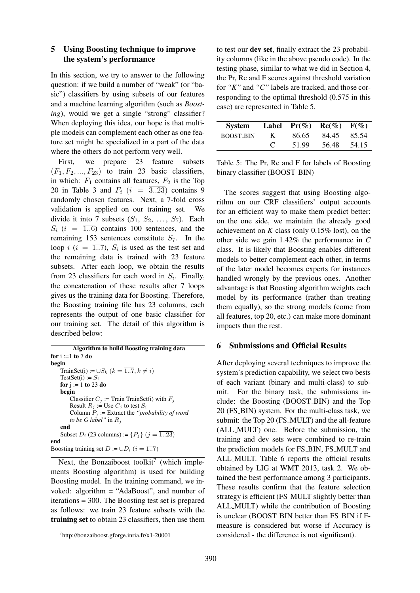#### 5 Using Boosting technique to improve the system's performance

In this section, we try to answer to the following question: if we build a number of "weak" (or "basic") classifiers by using subsets of our features and a machine learning algorithm (such as *Boosting*), would we get a single "strong" classifier? When deploying this idea, our hope is that multiple models can complement each other as one feature set might be specialized in a part of the data where the others do not perform very well.

First, we prepare 23 feature subsets  $(F_1, F_2, \ldots, F_{23})$  to train 23 basic classifiers, in which:  $F_1$  contains all features,  $F_2$  is the Top 20 in Table 3 and  $F_i$  ( $i = \overline{3..23}$ ) contains 9 randomly chosen features. Next, a 7-fold cross validation is applied on our training set. We divide it into 7 subsets  $(S_1, S_2, \ldots, S_7)$ . Each  $S_i$  (i =  $\overline{1..6}$ ) contains 100 sentences, and the remaining 153 sentences constitute  $S_7$ . In the loop  $i$  ( $i = \overline{1..7}$ ),  $S_i$  is used as the test set and the remaining data is trained with 23 feature subsets. After each loop, we obtain the results from 23 classifiers for each word in  $S_i$ . Finally, the concatenation of these results after 7 loops gives us the training data for Boosting. Therefore, the Boosting training file has 23 columns, each represents the output of one basic classifier for our training set. The detail of this algorithm is described below:

Algorithm to build Boosting training data for  $i := 1$  to 7 do begin TrainSet(i) :=  $\cup S_k$   $(k = \overline{1..7}, k \neq i)$ TestSet(i) :=  $S_i$ for  $j := 1$  to 23 do begin Classifier  $C_i$  := Train TrainSet(i) with  $F_i$ Result  $R_i$  := Use  $C_i$  to test  $S_i$ Column  $P_i$  := Extract the *"probability of word to be G label*" in  $R_i$ end Subset  $D_i$  (23 columns) :=  $\{P_i\}$  ( $j = \overline{1..23}$ ) end Boosting training set  $D := \cup D_i$   $(i = \overline{1..7})$ 

Next, the Bonzaiboost toolkit<sup>7</sup> (which implements Boosting algorithm) is used for building Boosting model. In the training command, we invoked: algorithm = "AdaBoost", and number of iterations = 300. The Boosting test set is prepared as follows: we train 23 feature subsets with the training set to obtain 23 classifiers, then use them to test our dev set, finally extract the 23 probability columns (like in the above pseudo code). In the testing phase, similar to what we did in Section 4, the Pr, Rc and F scores against threshold variation for *"K"* and *"C"* labels are tracked, and those corresponding to the optimal threshold (0.575 in this case) are represented in Table 5.

| System           |    |       | Label $Pr(\%)$ $Re(\%)$ $F(\%)$ |       |
|------------------|----|-------|---------------------------------|-------|
| <b>BOOST_BIN</b> | K. | 86.65 | 84.45                           | 85.54 |
|                  |    | 51.99 | 56.48                           | 54.15 |

Table 5: The Pr, Rc and F for labels of Boosting binary classifier (BOOST BIN)

The scores suggest that using Boosting algorithm on our CRF classifiers' output accounts for an efficient way to make them predict better: on the one side, we maintain the already good achievement on  $K$  class (only 0.15% lost), on the other side we gain 1.42% the performance in *C* class. It is likely that Boosting enables different models to better complement each other, in terms of the later model becomes experts for instances handled wrongly by the previous ones. Another advantage is that Boosting algorithm weights each model by its performance (rather than treating them equally), so the strong models (come from all features, top 20, etc.) can make more dominant impacts than the rest.

#### 6 Submissions and Official Results

After deploying several techniques to improve the system's prediction capability, we select two bests of each variant (binary and multi-class) to submit. For the binary task, the submissions include: the Boosting (BOOST BIN) and the Top 20 (FS BIN) system. For the multi-class task, we submit: the Top 20 (FS MULT) and the all-feature (ALL MULT) one. Before the submission, the training and dev sets were combined to re-train the prediction models for FS BIN, FS MULT and ALL MULT. Table 6 reports the official results obtained by LIG at WMT 2013, task 2. We obtained the best performance among 3 participants. These results confirm that the feature selection strategy is efficient (FS\_MULT slightly better than ALL MULT) while the contribution of Boosting is unclear (BOOST\_BIN better than FS\_BIN if Fmeasure is considered but worse if Accuracy is considered - the difference is not significant).

<sup>7</sup> http://bonzaiboost.gforge.inria.fr/x1-20001